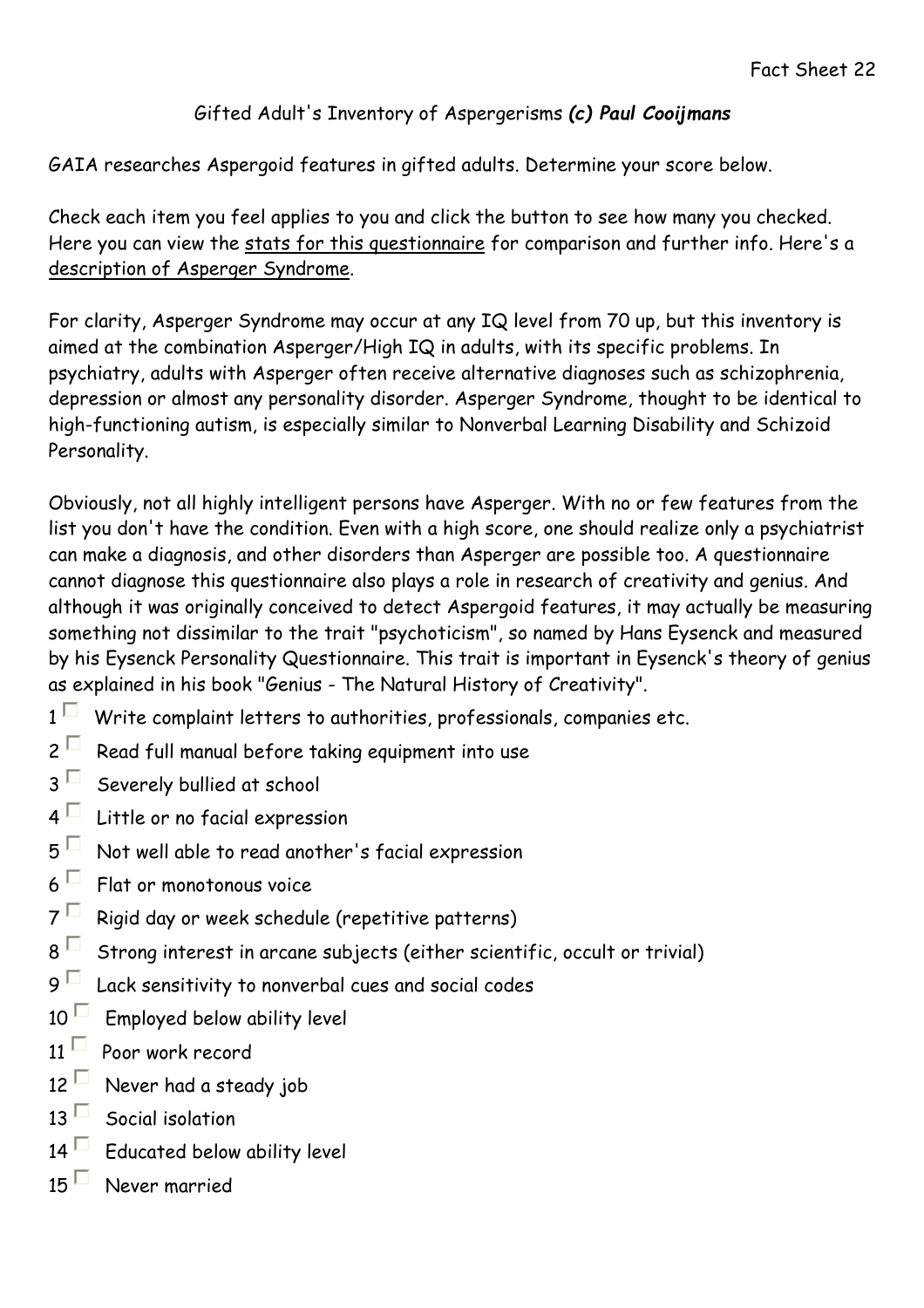## Gifted Adult's Inventory of Aspergerisms (c) Paul Cooijmans

GAIA researches Aspergoid features in gifted adults. Determine your score below.

Check each item you feel applies to you and click the button to see how many you checked. Here you can view the stats for this questionnaire for comparison and further info. Here's a description of Asperger Syndrome.

For clarity, Asperger Syndrome may occur at any IQ level from 70 up, but this inventory is aimed at the combination Asperger/High IQ in adults, with its specific problems. In psychiatry, adults with Asperger often receive alternative diagnoses such as schizophrenia, depression or almost any personality disorder. Asperger Syndrome, thought to be identical to high-functioning autism, is especially similar to Nonverbal Learning Disability and Schizoid Personality.

Obviously, not all highly intelligent persons have Asperger. With no or few features from the list you don't have the condition. Even with a high score, one should realize only a psychiatrist can make a diagnosis, and other disorders than Asperger are possible too. A questionnaire cannot diagnose this questionnaire also plays a role in research of creativity and genius. And although it was originally conceived to detect Aspergoid features, it may actually be measuring something not dissimilar to the trait "psychoticism", so named by Hans Eysenck and measured by his Eysenck Personality Questionnaire. This trait is important in Eysenck's theory of genius as explained in his book "Genius - The Natural History of Creativity".

- $1<sup>1</sup>$  Write complaint letters to authorities, professionals, companies etc.
- $2<sup>\Box</sup>$  Read full manual before taking equipment into use
- $3<sup>\square</sup>$  Severely bullied at school
- $4<sup>\square</sup>$  Little or no facial expression
- $5<sup>1</sup>$  Not well able to read another's facial expression
- $6<sup>1</sup>$  Flat or monotonous voice
- $7<sup>6</sup>$  Rigid day or week schedule (repetitive patterns)
- 8 Strong interest in arcane subjects (either scientific, occult or trivial)
- 9  $\Box$  Lack sensitivity to nonverbal cues and social codes
- $10<sup>11</sup>$  Employed below ability level
- $11<sup>1</sup>$  Poor work record
- 12 Never had a steady job
- 13  $\Box$  Social isolation
- $14<sup>1</sup>$  Educated below ability level
- 15  $\Box$  Never married